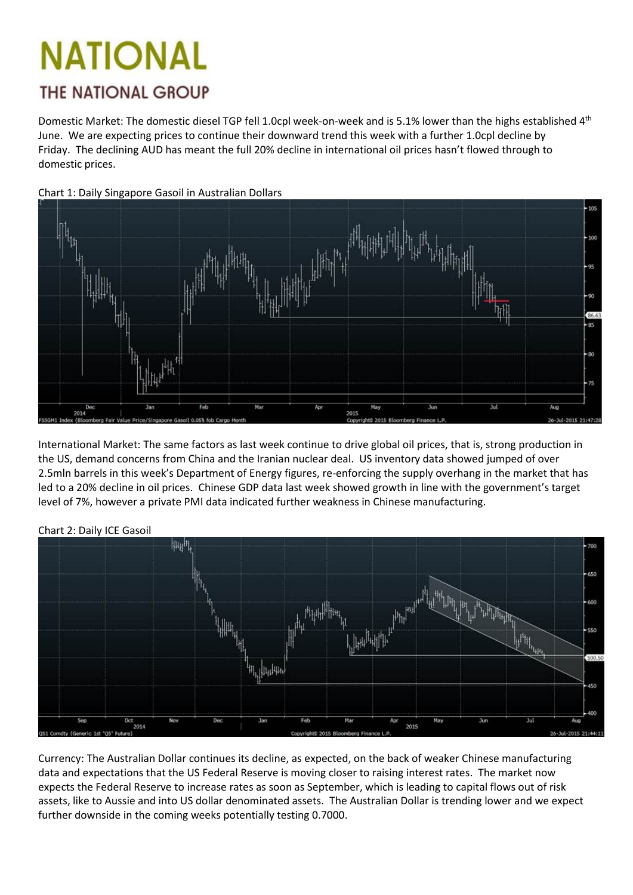# **NATIONAL**

### *THE NATIONAL GROUP*

Domestic Market: The domestic diesel TGP fell 1.0cpl week-on-week and is 5.1% lower than the highs established 4<sup>th</sup> June. We are expecting prices to continue their downward trend this week with a further 1.0cpl decline by Friday. The declining AUD has meant the full 20% decline in international oil prices hasn't flowed through to domestic prices.



Chart 1: Daily Singapore Gasoil in Australian Dollars

International Market: The same factors as last week continue to drive global oil prices, that is, strong production in the US, demand concerns from China and the Iranian nuclear deal. US inventory data showed jumped of over 2.5mln barrels in this week's Department of Energy figures, re-enforcing the supply overhang in the market that has led to a 20% decline in oil prices. Chinese GDP data last week showed growth in line with the government's target level of 7%, however a private PMI data indicated further weakness in Chinese manufacturing.



Chart 2: Daily ICE Gasoil

Currency: The Australian Dollar continues its decline, as expected, on the back of weaker Chinese manufacturing data and expectations that the US Federal Reserve is moving closer to raising interest rates. The market now expects the Federal Reserve to increase rates as soon as September, which is leading to capital flows out of risk assets, like to Aussie and into US dollar denominated assets. The Australian Dollar is trending lower and we expect further downside in the coming weeks potentially testing 0.7000.